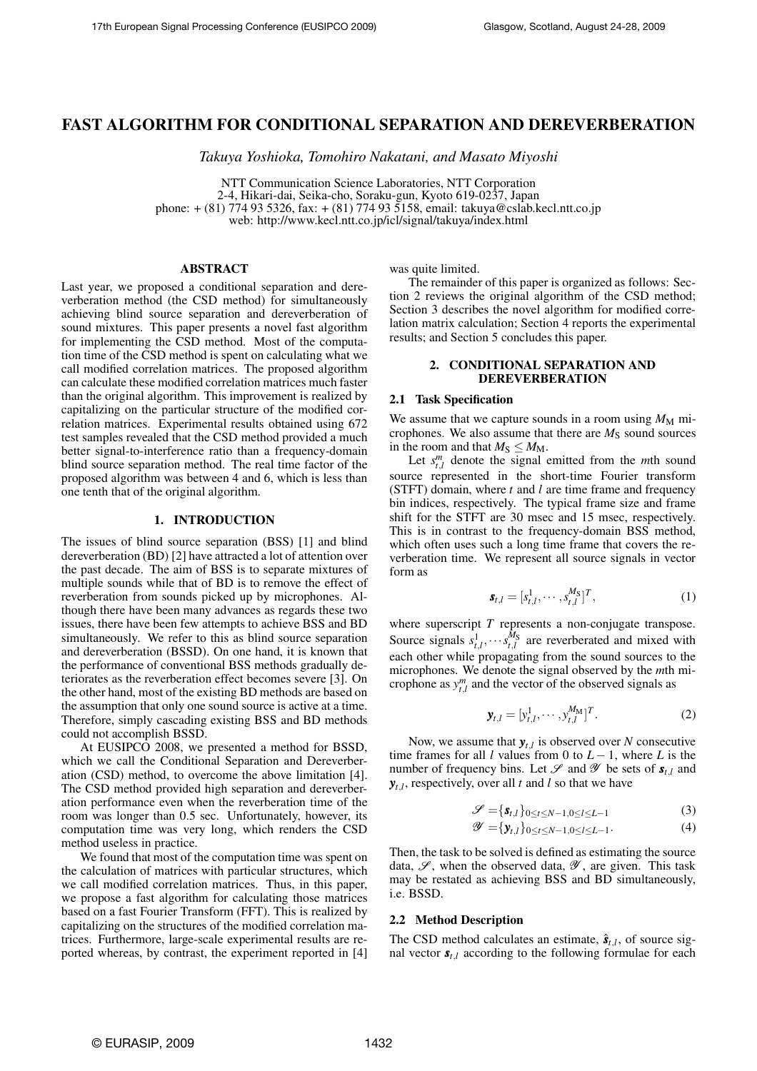# **FAST ALGORITHM FOR CONDITIONAL SEPARATION AND DEREVERBERATION**

*Takuya Yoshioka, Tomohiro Nakatani, and Masato Miyoshi*

NTT Communication Science Laboratories, NTT Corporation 2-4, Hikari-dai, Seika-cho, Soraku-gun, Kyoto 619-0237, Japan phone: + (81) 774 93 5326, fax: + (81) 774 93 5158, email: takuya@cslab.kecl.ntt.co.jp web: http://www.kecl.ntt.co.jp/icl/signal/takuya/index.html

### **ABSTRACT**

Last year, we proposed a conditional separation and dereverberation method (the CSD method) for simultaneously achieving blind source separation and dereverberation of sound mixtures. This paper presents a novel fast algorithm for implementing the CSD method. Most of the computation time of the CSD method is spent on calculating what we call modified correlation matrices. The proposed algorithm can calculate these modified correlation matrices much faster than the original algorithm. This improvement is realized by capitalizing on the particular structure of the modified correlation matrices. Experimental results obtained using 672 test samples revealed that the CSD method provided a much better signal-to-interference ratio than a frequency-domain blind source separation method. The real time factor of the proposed algorithm was between 4 and 6, which is less than one tenth that of the original algorithm.

#### **1. INTRODUCTION**

The issues of blind source separation (BSS) [1] and blind dereverberation (BD) [2] have attracted a lot of attention over the past decade. The aim of BSS is to separate mixtures of multiple sounds while that of BD is to remove the effect of reverberation from sounds picked up by microphones. Although there have been many advances as regards these two issues, there have been few attempts to achieve BSS and BD simultaneously. We refer to this as blind source separation and dereverberation (BSSD). On one hand, it is known that the performance of conventional BSS methods gradually deteriorates as the reverberation effect becomes severe [3]. On the other hand, most of the existing BD methods are based on the assumption that only one sound source is active at a time. Therefore, simply cascading existing BSS and BD methods could not accomplish BSSD.

At EUSIPCO 2008, we presented a method for BSSD, which we call the Conditional Separation and Dereverberation (CSD) method, to overcome the above limitation [4]. The CSD method provided high separation and dereverberation performance even when the reverberation time of the room was longer than 0.5 sec. Unfortunately, however, its computation time was very long, which renders the CSD method useless in practice.

We found that most of the computation time was spent on the calculation of matrices with particular structures, which we call modified correlation matrices. Thus, in this paper, we propose a fast algorithm for calculating those matrices based on a fast Fourier Transform (FFT). This is realized by capitalizing on the structures of the modified correlation matrices. Furthermore, large-scale experimental results are reported whereas, by contrast, the experiment reported in [4] was quite limited.

The remainder of this paper is organized as follows: Section 2 reviews the original algorithm of the CSD method; Section 3 describes the novel algorithm for modified correlation matrix calculation; Section 4 reports the experimental results; and Section 5 concludes this paper.

# **2. CONDITIONAL SEPARATION AND DEREVERBERATION**

## **2.1 Task Specification**

We assume that we capture sounds in a room using  $M_M$  microphones. We also assume that there are  $M<sub>S</sub>$  sound sources in the room and that  $M_S \leq M_M$ .

Let  $s_{t,l}^m$  denote the signal emitted from the *m*th sound source represented in the short-time Fourier transform (STFT) domain, where *t* and *l* are time frame and frequency bin indices, respectively. The typical frame size and frame shift for the STFT are 30 msec and 15 msec, respectively. This is in contrast to the frequency-domain BSS method, which often uses such a long time frame that covers the reverberation time. We represent all source signals in vector form as

$$
\mathbf{s}_{t,l} = [s_{t,l}^1, \cdots, s_{t,l}^{M_\text{S}}]^T, \tag{1}
$$

where superscript *T* represents a non-conjugate transpose. Source signals  $s_{t,l}^1, \cdots s_{t,l}^{M_S}$  are reverberated and mixed with each other while propagating from the sound sources to the microphones. We denote the signal observed by the *m*th microphone as  $y_{t,l}^m$  and the vector of the observed signals as

$$
\mathbf{y}_{t,l} = [y_{t,l}^1, \cdots, y_{t,l}^{M_{\text{M}}}]^T.
$$
 (2)

Now, we assume that  $y_{t,l}$  is observed over *N* consecutive time frames for all *l* values from 0 to  $L - 1$ , where *L* is the number of frequency bins. Let  $\mathcal{S}$  and  $\mathcal{Y}$  be sets of  $\mathbf{s}_{t,l}$  and  $y_{t,l}$ , respectively, over all *t* and *l* so that we have

$$
\mathscr{S} = \{\mathbf{s}_{t,l}\}_{0 \leq t \leq N-1, 0 \leq l \leq L-1}
$$
 (3)

$$
\mathscr{Y} = \{ \mathbf{y}_{t,l} \}_{0 \leq t \leq N-1, 0 \leq l \leq L-1}.\tag{4}
$$

Then, the task to be solved is defined as estimating the source data,  $\mathscr{S}$ , when the observed data,  $\mathscr{Y}$ , are given. This task may be restated as achieving BSS and BD simultaneously, i.e. BSSD.

#### **2.2 Method Description**

The CSD method calculates an estimate,  $\hat{\mathbf{s}}_{t,l}$ , of source signal vector  $s_{t,l}$  according to the following formulae for each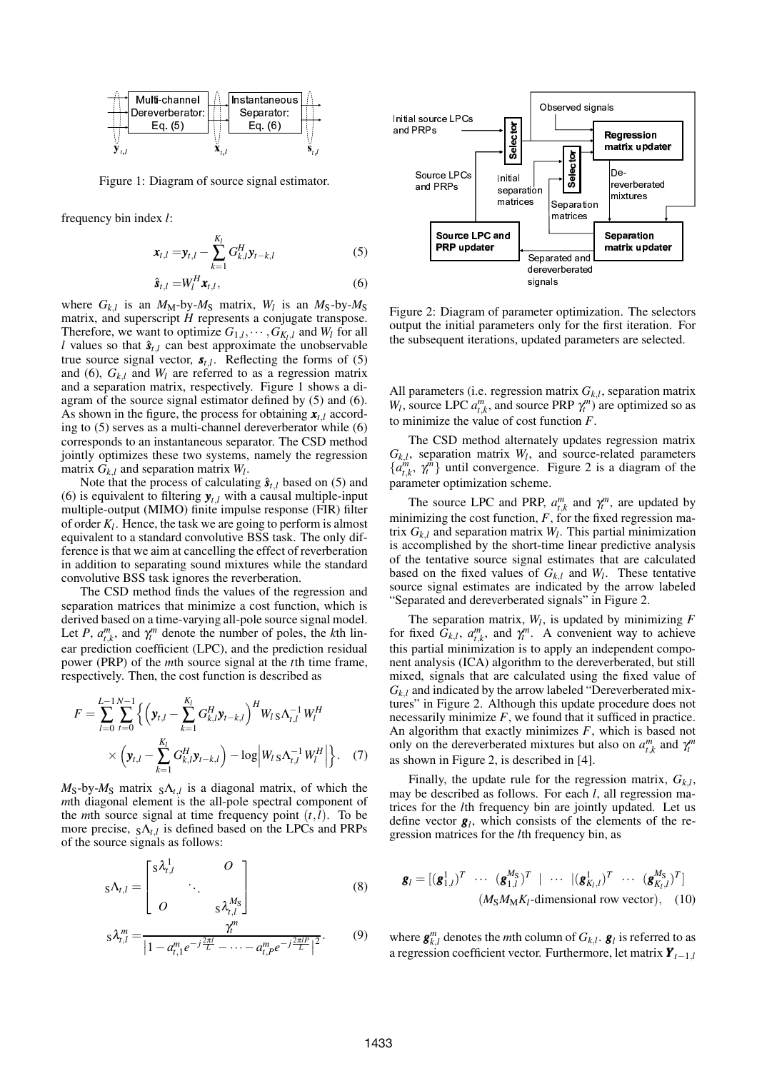

Figure 1: Diagram of source signal estimator.

frequency bin index *l*:

$$
\bm{x}_{t,l} = \bm{y}_{t,l} - \sum_{k=1}^{K_l} G_{k,l}^H \bm{y}_{t-k,l}
$$
 (5)

$$
\hat{\mathbf{s}}_{t,l} = W_l^H \mathbf{x}_{t,l},\tag{6}
$$

where  $G_{k,l}$  is an  $M_M$ -by- $M_S$  matrix,  $W_l$  is an  $M_S$ -by- $M_S$ matrix, and superscript *H* represents a conjugate transpose. Therefore, we want to optimize  $G_{1,l}, \dots, G_{K_l,l}$  and  $W_l$  for all *l* values so that  $\hat{\mathbf{s}}_{t,l}$  can best approximate the unobservable true source signal vector,  $s_{t,l}$ . Reflecting the forms of (5) and (6),  $G_{k,l}$  and  $W_l$  are referred to as a regression matrix and a separation matrix, respectively. Figure 1 shows a diagram of the source signal estimator defined by (5) and (6). As shown in the figure, the process for obtaining  $\mathbf{x}_{t,l}$  according to (5) serves as a multi-channel dereverberator while (6) corresponds to an instantaneous separator. The CSD method jointly optimizes these two systems, namely the regression matrix  $G_{k,l}$  and separation matrix  $W_l$ .

Note that the process of calculating  $\hat{\mathbf{s}}_{t,l}$  based on (5) and (6) is equivalent to filtering  $y_{t,l}$  with a causal multiple-input multiple-output (MIMO) finite impulse response (FIR) filter of order *K<sup>l</sup>* . Hence, the task we are going to perform is almost equivalent to a standard convolutive BSS task. The only difference is that we aim at cancelling the effect of reverberation in addition to separating sound mixtures while the standard convolutive BSS task ignores the reverberation.

The CSD method finds the values of the regression and separation matrices that minimize a cost function, which is derived based on a time-varying all-pole source signal model. Let *P*,  $a_{t,k}^m$ , and  $\gamma_t^m$  denote the number of poles, the *k*th linear prediction coefficient (LPC), and the prediction residual power (PRP) of the *m*th source signal at the *t*th time frame, respectively. Then, the cost function is described as

$$
F = \sum_{l=0}^{L-1} \sum_{t=0}^{N-1} \left\{ \left( \mathbf{y}_{t,l} - \sum_{k=1}^{K_l} G_{k,l}^H \mathbf{y}_{t-k,l} \right)^H W_l s \Lambda_{t,l}^{-1} W_l^H \right. \\ \times \left. \left( \mathbf{y}_{t,l} - \sum_{k=1}^{K_l} G_{k,l}^H \mathbf{y}_{t-k,l} \right) - \log \left| W_l s \Lambda_{t,l}^{-1} W_l^H \right| \right\}.
$$
 (7)

 $M_S$ -by- $M_S$  matrix  $S\Lambda_{t,l}$  is a diagonal matrix, of which the *m*th diagonal element is the all-pole spectral component of the *m*th source signal at time frequency point  $(t, l)$ . To be more precise,  $_{S}\Lambda_{t,l}$  is defined based on the LPCs and PRPs of the source signals as follows:

$$
s\Lambda_{t,l} = \begin{bmatrix} s\lambda_{t,l}^1 & O \\ & \ddots & \\ O & & s\lambda_{t,l}^{M_s} \end{bmatrix}
$$
 (8)

$$
s\lambda_{t,l}^{m} = \frac{\gamma_{t}^{m}}{\left|1 - a_{t,1}^{m}e^{-j\frac{2\pi l}{L}} - \dots - a_{t,P}^{m}e^{-j\frac{2\pi l P}{L}}\right|^{2}}.
$$
(9)



Figure 2: Diagram of parameter optimization. The selectors output the initial parameters only for the first iteration. For the subsequent iterations, updated parameters are selected.

All parameters (i.e. regression matrix *Gk*,*<sup>l</sup>* , separation matrix *W*<sub>*l*</sub>, source LPC  $a_{t,k}^m$ , and source PRP  $\gamma_t^m$  are optimized so as to minimize the value of cost function *F*.

The CSD method alternately updates regression matrix  $G_{k,l}$ , separation matrix  $W_l$ , and source-related parameters  $\{a_{t,k}^m, \gamma_t^m\}$  until convergence. Figure 2 is a diagram of the parameter optimization scheme.

The source LPC and PRP,  $a_{t,k}^m$  and  $\gamma_t^m$ , are updated by minimizing the cost function,  $F$ , for the fixed regression matrix  $G_{k,l}$  and separation matrix  $W_l$ . This partial minimization is accomplished by the short-time linear predictive analysis of the tentative source signal estimates that are calculated based on the fixed values of  $G_{k,l}$  and  $W_l$ . These tentative source signal estimates are indicated by the arrow labeled "Separated and dereverberated signals" in Figure 2.

The separation matrix,  $W_l$ , is updated by minimizing  $F$ for fixed  $G_{k,l}$ ,  $a_{t,k}^m$ , and  $\gamma_t^m$ . A convenient way to achieve this partial minimization is to apply an independent component analysis (ICA) algorithm to the dereverberated, but still mixed, signals that are calculated using the fixed value of  $G_{k,l}$  and indicated by the arrow labeled "Dereverberated mixtures" in Figure 2. Although this update procedure does not necessarily minimize  $F$ , we found that it sufficed in practice. An algorithm that exactly minimizes *F*, which is based not only on the dereverberated mixtures but also on  $a_{t,k}^m$  and  $\gamma_t^m$ as shown in Figure 2, is described in [4].

Finally, the update rule for the regression matrix, *Gk*,*<sup>l</sup>* , may be described as follows. For each *l*, all regression matrices for the *l*th frequency bin are jointly updated. Let us define vector  $g_l$ , which consists of the elements of the regression matrices for the *l*th frequency bin, as

$$
\mathbf{g}_l = [(\mathbf{g}_{1,l}^1)^T \cdots (\mathbf{g}_{1,l}^{M_S})^T \mid \cdots \mid (\mathbf{g}_{K_l,l}^1)^T \cdots (\mathbf{g}_{K_l,l}^{M_S})^T]
$$
  

$$
(M_S M_M K_l\text{-dimensional row vector}), \quad (10)
$$

where  $\boldsymbol{g}^{m}_{k,l}$  denotes the *m*th column of  $G_{k,l}$ .  $\boldsymbol{g}_l$  is referred to as a regression coefficient vector. Furthermore, let matrix  $\boldsymbol{Y}_{t-1,l}$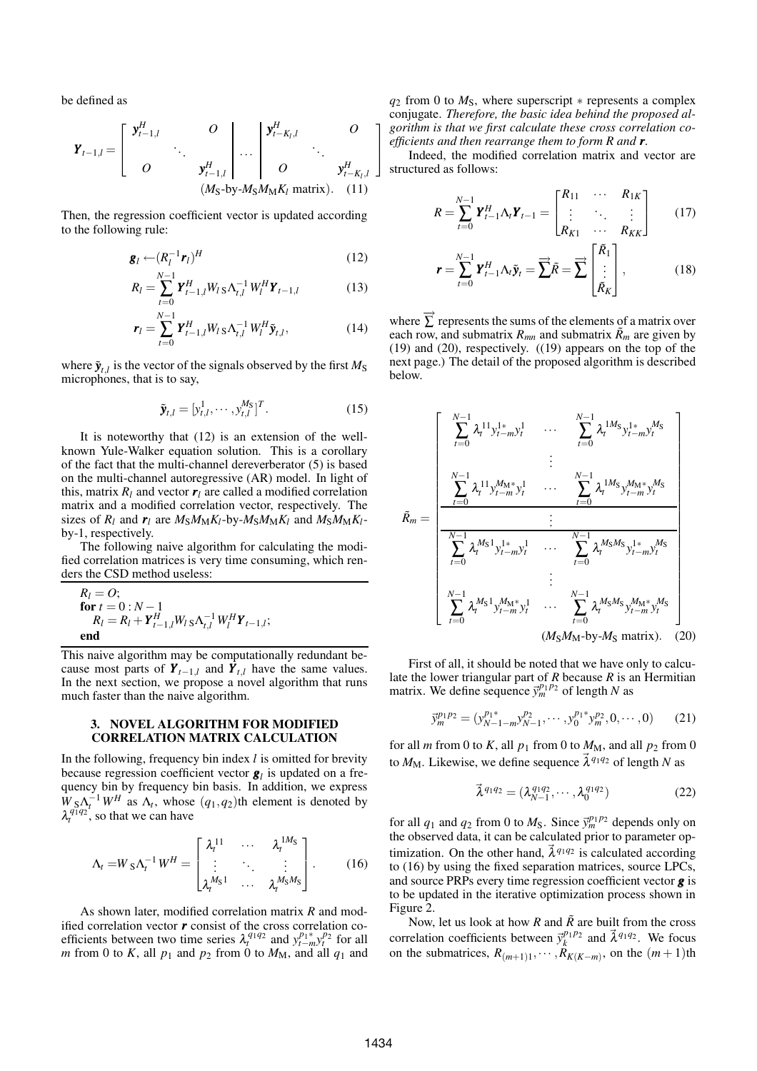be defined as

$$
\boldsymbol{Y}_{t-1,l} = \begin{bmatrix} \boldsymbol{y}_{t-1,l}^H & O \\ & \ddots & \\ O & \boldsymbol{y}_{t-1,l}^H \end{bmatrix} \dots \begin{bmatrix} \boldsymbol{y}_{t-K_l,l}^H & O \\ & \ddots & \\ O & \boldsymbol{y}_{t-K_l,l}^H \end{bmatrix}
$$
\n
$$
(M_S \text{-by-} M_S M_M K_l \text{ matrix}). \quad (11)
$$

Then, the regression coefficient vector is updated according to the following rule:

$$
\mathbf{g}_l \leftarrow (R_l^{-1} \mathbf{r}_l)^H \tag{12}
$$

$$
R_l = \sum_{t=0}^{N-1} \boldsymbol{Y}_{t-1,l}^H W_l \, \text{s} \Lambda_{t,l}^{-1} W_l^H \boldsymbol{Y}_{t-1,l} \tag{13}
$$

$$
\boldsymbol{r}_{l} = \sum_{t=0}^{N-1} \boldsymbol{Y}_{t-1,l}^{H} W_{l} \, \mathrm{s} \, \Lambda_{t,l}^{-1} \, W_{l}^{H} \tilde{\boldsymbol{y}}_{t,l}, \qquad (14)
$$

where  $\tilde{\mathbf{y}}_{t,l}$  is the vector of the signals observed by the first  $M_{\rm S}$ microphones, that is to say,

$$
\tilde{\mathbf{y}}_{t,l} = [y_{t,l}^1, \cdots, y_{t,l}^{M_S}]^T.
$$
 (15)

It is noteworthy that (12) is an extension of the wellknown Yule-Walker equation solution. This is a corollary of the fact that the multi-channel dereverberator (5) is based on the multi-channel autoregressive (AR) model. In light of this, matrix  $R_l$  and vector  $r_l$  are called a modified correlation matrix and a modified correlation vector, respectively. The sizes of  $R_l$  and  $r_l$  are  $M_S M_M K_l$ -by- $M_S M_M K_l$  and  $M_S M_M K_l$ by-1, respectively.

The following naive algorithm for calculating the modified correlation matrices is very time consuming, which renders the CSD method useless:

$$
R_l = O;\nfor t = 0: N - 1\nR_l = R_l + Y_{t-1,l}^H W_l s \Lambda_{t,l}^{-1} W_l^H Y_{t-1,l};\nend
$$

This naive algorithm may be computationally redundant because most parts of  $Y_{t-1,l}$  and  $Y_{t,l}$  have the same values. In the next section, we propose a novel algorithm that runs much faster than the naive algorithm.

#### **3. NOVEL ALGORITHM FOR MODIFIED CORRELATION MATRIX CALCULATION**

In the following, frequency bin index *l* is omitted for brevity because regression coefficient vector *g<sup>l</sup>* is updated on a frequency bin by frequency bin basis. In addition, we express  $W_{S} \Lambda_{t}^{-1} W^{H}$  as  $\Lambda_{t}$ , whose  $(q_{1}, q_{2})$ th element is denoted by  $\lambda_t^{q_1 q_2}$ , so that we can have

$$
\Lambda_t = W_S \Lambda_t^{-1} W^H = \begin{bmatrix} \lambda_t^{11} & \cdots & \lambda_t^{1M_S} \\ \vdots & \ddots & \vdots \\ \lambda_t^{M_S 1} & \cdots & \lambda_t^{M_S M_S} \end{bmatrix} .
$$
 (16)

As shown later, modified correlation matrix *R* and modified correlation vector *r* consist of the cross correlation coefficients between two time series  $\lambda_t^{q_1 q_2}$  and  $y_{t-m}^{p_1*} y_t^{p_2}$  for all *m* from 0 to *K*, all  $p_1$  and  $p_2$  from 0 to  $M_M$ , and all  $q_1$  and  $q_2$  from 0 to  $M_s$ , where superscript  $*$  represents a complex conjugate. *Therefore, the basic idea behind the proposed algorithm is that we first calculate these cross correlation coefficients and then rearrange them to form R and r.*

Indeed, the modified correlation matrix and vector are structured as follows:

$$
R = \sum_{t=0}^{N-1} \boldsymbol{Y}_{t-1}^H \boldsymbol{\Lambda}_t \boldsymbol{Y}_{t-1} = \begin{bmatrix} R_{11} & \cdots & R_{1K} \\ \vdots & \ddots & \vdots \\ R_{K1} & \cdots & R_{KK} \end{bmatrix} \qquad (17)
$$

$$
\boldsymbol{r} = \sum_{t=0}^{N-1} \boldsymbol{Y}_{t-1}^H \boldsymbol{\Lambda}_t \tilde{\boldsymbol{y}}_t = \overrightarrow{\sum} \tilde{R} = \overrightarrow{\sum} \begin{bmatrix} \tilde{R}_1 \\ \vdots \\ \tilde{R}_K \end{bmatrix},
$$
(18)

where  $\overrightarrow{\Sigma}$  represents the sums of the elements of a matrix over each row, and submatrix  $R_{mn}$  and submatrix  $\tilde{R}_m$  are given by (19) and (20), respectively. ((19) appears on the top of the next page.) The detail of the proposed algorithm is described below.

$$
\tilde{R}_{m} = \begin{bmatrix}\n\sum_{t=0}^{N-1} \lambda_{t}^{11} y_{t-m}^{1*} y_{t}^{1} & \cdots & \sum_{t=0}^{N-1} \lambda_{t}^{1M_{S}} y_{t-m}^{1*} y_{t}^{M_{S}} \\
\vdots & \vdots & \vdots \\
\sum_{t=0}^{N-1} \lambda_{t}^{11} y_{t-m}^{M_{M}} y_{t}^{1} & \cdots & \sum_{t=0}^{N-1} \lambda_{t}^{1M_{S}} y_{t-m}^{M_{M}} y_{t}^{M_{S}} \\
\vdots & \vdots & \vdots \\
\sum_{t=0}^{N-1} \lambda_{t}^{M_{S}} y_{t-m}^{1*} y_{t}^{1} & \cdots & \sum_{t=0}^{N-1} \lambda_{t}^{M_{S}} y_{t-m}^{1*} y_{t}^{M_{S}} \\
\vdots & \vdots & \vdots \\
\sum_{t=0}^{N-1} \lambda_{t}^{M_{S}} y_{t-m}^{M_{M}} y_{t}^{1} & \cdots & \sum_{t=0}^{N-1} \lambda_{t}^{M_{S}} y_{t-m}^{M_{M}} y_{t}^{M_{S}} \\
\vdots & \vdots & \vdots \\
\sum_{t=0}^{N-1} \lambda_{t}^{M_{S}} y_{t-m}^{M_{M}} y_{t}^{1} & \cdots & \sum_{t=0}^{N-1} \lambda_{t}^{M_{S}} y_{t-m}^{M_{M}} y_{t}^{M_{S}} \\
(M_{S} M_{M} - b y - M_{S} \text{ matrix}).\n\end{bmatrix}
$$

First of all, it should be noted that we have only to calculate the lower triangular part of *R* because *R* is an Hermitian matrix. We define sequence  $\vec{y}_m^{p_1 p_2}$  of length *N* as

$$
\vec{y}_m^{p_1 p_2} = (y_{N-1-m}^{p_1*} y_{N-1}^{p_2}, \cdots, y_0^{p_1*} y_m^{p_2}, 0, \cdots, 0)
$$
 (21)

for all *m* from 0 to *K*, all  $p_1$  from 0 to  $M_M$ , and all  $p_2$  from 0 to  $M_M$ . Likewise, we define sequence  $\vec{\lambda}^{q_1 q_2}$  of length *N* as

$$
\vec{\lambda}^{q_1 q_2} = (\lambda_{N-1}^{q_1 q_2}, \cdots, \lambda_0^{q_1 q_2})
$$
 (22)

for all  $q_1$  and  $q_2$  from 0 to  $M_S$ . Since  $\vec{y}_m^{p_1 p_2}$  depends only on the observed data, it can be calculated prior to parameter optimization. On the other hand,  $\vec{\lambda}^{q_1 q_2}$  is calculated according to (16) by using the fixed separation matrices, source LPCs, and source PRPs every time regression coefficient vector *g* is to be updated in the iterative optimization process shown in Figure 2.

Now, let us look at how *R* and  $\tilde{R}$  are built from the cross correlation coefficients between  $\vec{y}_k^{p_1 p_2}$  and  $\vec{\lambda}^{q_1 q_2}$ . We focus on the submatrices,  $R_{(m+1)1}, \cdots, R_{K(K-m)}$ , on the  $(m+1)$ th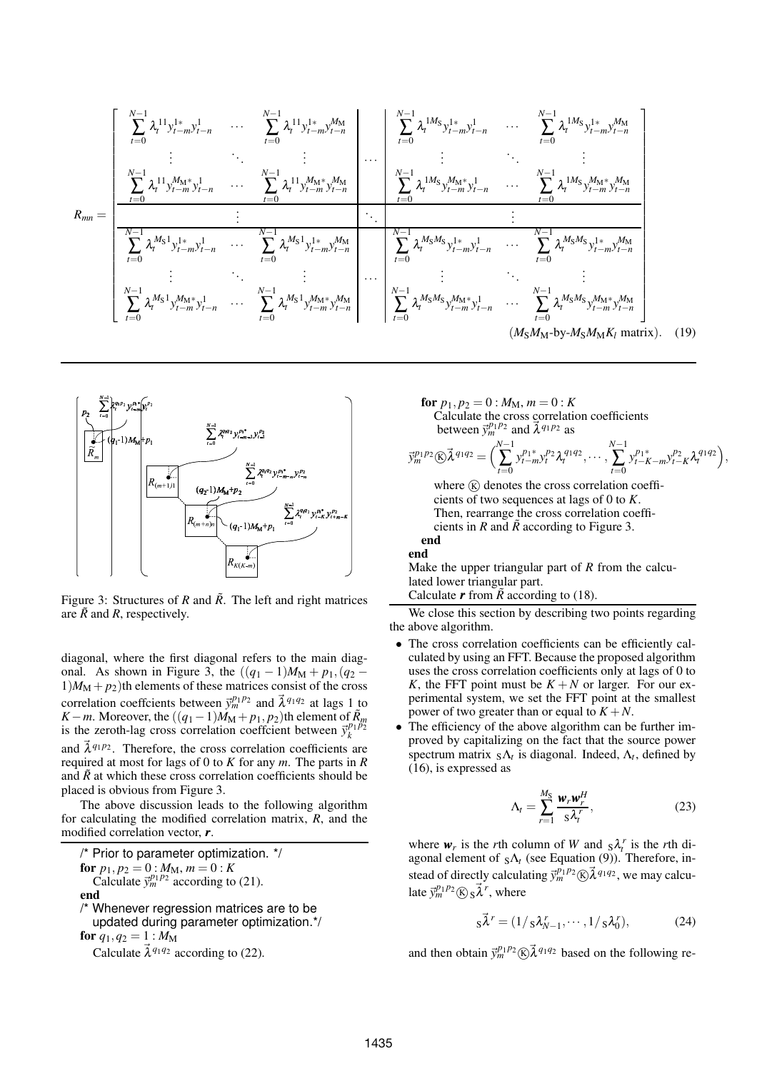$$
R_{mn} = \begin{bmatrix} \sum_{t=0}^{N-1} \lambda_t^{11} y_{t-m}^{1*} y_{t-n}^{1} & \cdots & \sum_{t=0}^{N-1} \lambda_t^{11} y_{t-m}^{1*} y_{t-n}^{M} \\ \vdots & \ddots & \vdots \\ \sum_{t=0}^{N-1} \lambda_t^{11} y_{t-m}^{M} y_{t-n}^{1} & \cdots & \sum_{t=0}^{N-1} \lambda_t^{11} y_{t-m}^{M} y_{t-n}^{M} \\ \vdots & \ddots & \vdots \\ \sum_{t=0}^{N-1} \lambda_t^{11} y_{t-m}^{M} y_{t-n}^{1} & \cdots & \sum_{t=0}^{N-1} \lambda_t^{11} y_{t-m}^{M} y_{t-n}^{M} \\ \vdots & \ddots & \vdots \\ \sum_{t=0}^{N-1} \lambda_t^{M_S} y_{t-m}^{M} y_{t-n}^{1} & \cdots & \sum_{t=0}^{N-1} \lambda_t^{M_S} y_{t-m}^{M} y_{t-n}^{M} \\ \vdots & \ddots & \vdots \\ \sum_{t=0}^{N-1} \lambda_t^{M_S} y_{t-m}^{M} y_{t-n}^{1} & \cdots & \sum_{t=0}^{N-1} \lambda_t^{M_S} y_{t-m}^{M} y_{t-n}^{M} \\ \vdots & \ddots & \vdots \\ \sum_{t=0}^{N-1} \lambda_t^{M_S} y_{t-m}^{M} y_{t-n}^{1} & \cdots & \sum_{t=0}^{N-1} \lambda_t^{M_S} y_{t-m}^{M} y_{t-n}^{M} \\ \vdots & \ddots & \vdots \\ \sum_{t=0}^{N-1} \lambda_t^{M_S} y_{t-m}^{M} y_{t-n}^{1} & \cdots & \sum_{t=0}^{N-1} \lambda_t^{M_S} y_{t-m}^{M} y_{t-n}^{M} \\ \vdots & \ddots & \vdots \\ \sum_{t=0}^{N-1} \lambda_t^{M_S} y_{t-m}^{M} y_{t-n}^{1} & \cdots & \sum_{t=0}^{N-1} \lambda_t^{M_S} y_{t-m}^{M} y_{t-n}^{M} \\ \end{bmatrix} \tag{M_S M_M \rightarrow y-1, N, N, N, N, M, N, M, N, M, N, M, N, M, N, M, N, M, N
$$



Figure 3: Structures of *R* and  $\tilde{R}$ . The left and right matrices are  $\tilde{R}$  and  $R$ , respectively.

diagonal, where the first diagonal refers to the main diagonal. As shown in Figure 3, the  $((q_1 - 1)M_M + p_1, (q_2 1/M_M + p_2$ )th elements of these matrices consist of the cross correlation coeffcients between  $\vec{y}_m^{p_1 p_2}$  and  $\vec{\lambda}^{q_1 q_2}$  at lags 1 to *K* − *m*. Moreover, the  $((q_1 - 1)M_M + p_1, p_2)$ th element of  $\tilde{R}_m$ is the zeroth-lag cross correlation coeffcient between  $\vec{y}_k^{p_1 p_2}$ and  $\vec{\lambda}^{q_1 p_2}$ . Therefore, the cross correlation coefficients are required at most for lags of 0 to *K* for any *m*. The parts in *R* and  $\tilde{R}$  at which these cross correlation coefficients should be placed is obvious from Figure 3.

The above discussion leads to the following algorithm for calculating the modified correlation matrix, *R*, and the modified correlation vector, *r*.

/\* Prior to parameter optimization. \*/ **for**  $p_1, p_2 = 0$  :  $M_M, m = 0$  :  $K$ Calculate  $\vec{y}_m^{p_1 p_2}$  according to (21). **end** /\* Whenever regression matrices are to be updated during parameter optimization.\*/ **for**  $q_1, q_2 = 1$  :  $M_M$ 

Calculate  $\vec{\lambda}^{q_1 q_2}$  according to (22).

**for**  $p_1, p_2 = 0$  :  $M_M, m = 0$  : *K* Calculate the cross correlation coefficients between  $\vec{y}_m^{p_1 p_2}$  and  $\vec{\lambda}^{q_1 p_2}$  as

$$
\vec{y}_m^{p_1p_2} \textcircled{k}\vec{\lambda}^{q_1q_2} = \Big(\sum_{t=0}^{N-1} y_{t-m}^{p_1*} y_t^{p_2} \lambda_t^{q_1q_2}, \cdots, \sum_{t=0}^{N-1} y_{t-K-m}^{p_1*} y_{t-K}^{p_2} \lambda_t^{q_1q_2}\Big),
$$

where  $(\widehat{K})$  denotes the cross correlation coefficients of two sequences at lags of 0 to *K*. Then, rearrange the cross correlation coefficients in  $R$  and  $\tilde{R}$  according to Figure 3. **end**

#### **end**

Make the upper triangular part of *R* from the calculated lower triangular part.

Calculate  $\bm{r}$  from  $\vec{R}$  according to (18).

We close this section by describing two points regarding the above algorithm.

- The cross correlation coefficients can be efficiently calculated by using an FFT. Because the proposed algorithm uses the cross correlation coefficients only at lags of 0 to *K*, the FFT point must be  $K + N$  or larger. For our experimental system, we set the FFT point at the smallest power of two greater than or equal to  $K + N$ .
- The efficiency of the above algorithm can be further improved by capitalizing on the fact that the source power spectrum matrix  $_{S}\Lambda_{t}$  is diagonal. Indeed,  $\Lambda_{t}$ , defined by (16), is expressed as

$$
\Lambda_t = \sum_{r=1}^{M_S} \frac{\mathbf{w}_r \mathbf{w}_r^H}{s \lambda_t^r},\tag{23}
$$

where  $w_r$  is the *r*th column of *W* and  $s\lambda_t^r$  is the *r*th diagonal element of  $_{S}\Lambda_{t}$  (see Equation (9)). Therefore, instead of directly calculating  $\vec{y}_m^{p_1 p_2}$   $\&$   $\vec{\lambda}^{q_1 q_2}$ , we may calculate  $\vec{y}_m^{p_1 p_2}$  *R*  $\vec{\lambda}^r$ , where

$$
s\vec{\lambda}^r = (1/s\lambda_{N-1}^r, \cdots, 1/s\lambda_0^r), \tag{24}
$$

and then obtain  $\vec{y}_m^{p_1 p_2} \times \vec{\lambda}^{q_1 q_2}$  based on the following re-